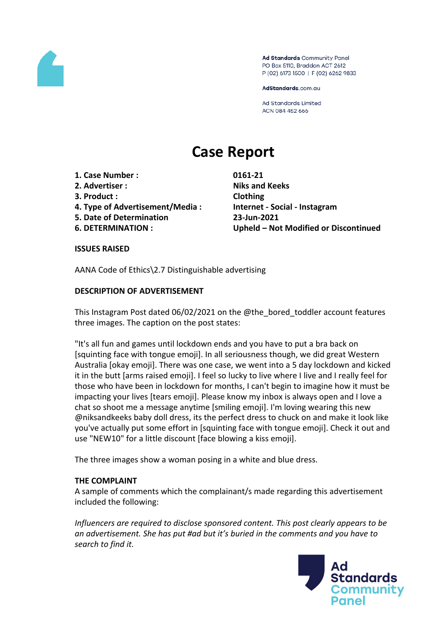

Ad Standards Community Panel PO Box 5110, Braddon ACT 2612 P (02) 6173 1500 | F (02) 6262 9833

AdStandards.com.au

**Ad Standards Limited** ACN 084 452 666

# **Case Report**

- **1. Case Number : 0161-21**
- **2. Advertiser : Niks and Keeks**
- **3. Product : Clothing**
- **4. Type of Advertisement/Media : Internet - Social - Instagram**
- **5. Date of Determination 23-Jun-2021**
- 

**6. DETERMINATION : Upheld – Not Modified or Discontinued**

## **ISSUES RAISED**

AANA Code of Ethics\2.7 Distinguishable advertising

# **DESCRIPTION OF ADVERTISEMENT**

This Instagram Post dated 06/02/2021 on the @the\_bored\_toddler account features three images. The caption on the post states:

"It's all fun and games until lockdown ends and you have to put a bra back on [squinting face with tongue emoji]. In all seriousness though, we did great Western Australia [okay emoji]. There was one case, we went into a 5 day lockdown and kicked it in the butt [arms raised emoji]. I feel so lucky to live where I live and I really feel for those who have been in lockdown for months, I can't begin to imagine how it must be impacting your lives [tears emoji]. Please know my inbox is always open and I love a chat so shoot me a message anytime [smiling emoji]. I'm loving wearing this new @niksandkeeks baby doll dress, its the perfect dress to chuck on and make it look like you've actually put some effort in [squinting face with tongue emoji]. Check it out and use "NEW10" for a little discount [face blowing a kiss emoji].

The three images show a woman posing in a white and blue dress.

## **THE COMPLAINT**

A sample of comments which the complainant/s made regarding this advertisement included the following:

*Influencers are required to disclose sponsored content. This post clearly appears to be an advertisement. She has put #ad but it's buried in the comments and you have to search to find it.*

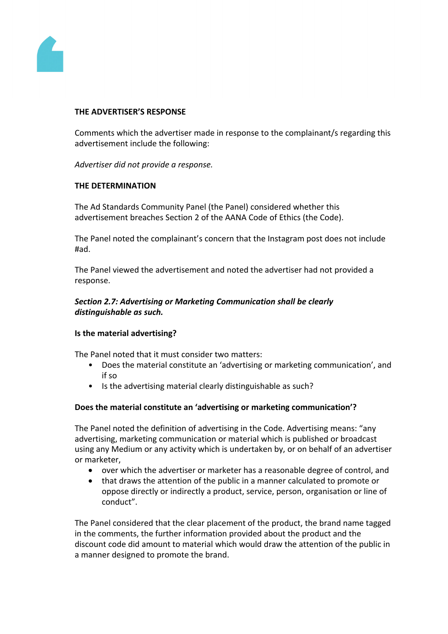

#### **THE ADVERTISER'S RESPONSE**

Comments which the advertiser made in response to the complainant/s regarding this advertisement include the following:

*Advertiser did not provide a response.*

#### **THE DETERMINATION**

The Ad Standards Community Panel (the Panel) considered whether this advertisement breaches Section 2 of the AANA Code of Ethics (the Code).

The Panel noted the complainant's concern that the Instagram post does not include #ad.

The Panel viewed the advertisement and noted the advertiser had not provided a response.

## *Section 2.7: Advertising or Marketing Communication shall be clearly distinguishable as such.*

## **Is the material advertising?**

The Panel noted that it must consider two matters:

- Does the material constitute an 'advertising or marketing communication', and if so
- Is the advertising material clearly distinguishable as such?

## **Does the material constitute an 'advertising or marketing communication'?**

The Panel noted the definition of advertising in the Code. Advertising means: "any advertising, marketing communication or material which is published or broadcast using any Medium or any activity which is undertaken by, or on behalf of an advertiser or marketer,

- over which the advertiser or marketer has a reasonable degree of control, and
- that draws the attention of the public in a manner calculated to promote or oppose directly or indirectly a product, service, person, organisation or line of conduct".

The Panel considered that the clear placement of the product, the brand name tagged in the comments, the further information provided about the product and the discount code did amount to material which would draw the attention of the public in a manner designed to promote the brand.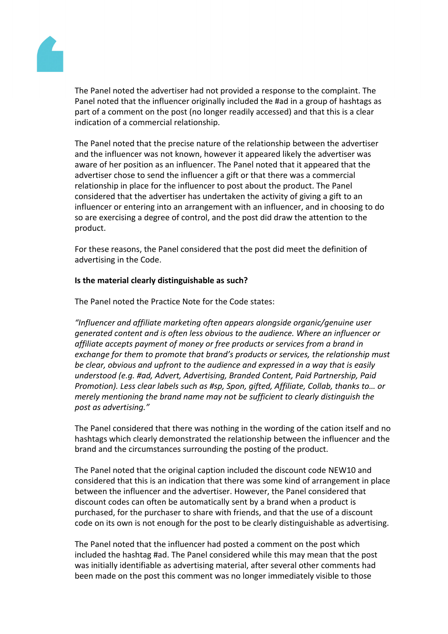

The Panel noted the advertiser had not provided a response to the complaint. The Panel noted that the influencer originally included the #ad in a group of hashtags as part of a comment on the post (no longer readily accessed) and that this is a clear indication of a commercial relationship.

The Panel noted that the precise nature of the relationship between the advertiser and the influencer was not known, however it appeared likely the advertiser was aware of her position as an influencer. The Panel noted that it appeared that the advertiser chose to send the influencer a gift or that there was a commercial relationship in place for the influencer to post about the product. The Panel considered that the advertiser has undertaken the activity of giving a gift to an influencer or entering into an arrangement with an influencer, and in choosing to do so are exercising a degree of control, and the post did draw the attention to the product.

For these reasons, the Panel considered that the post did meet the definition of advertising in the Code.

## **Is the material clearly distinguishable as such?**

The Panel noted the Practice Note for the Code states:

*"Influencer and affiliate marketing often appears alongside organic/genuine user generated content and is often less obvious to the audience. Where an influencer or affiliate accepts payment of money or free products or services from a brand in exchange for them to promote that brand's products or services, the relationship must be clear, obvious and upfront to the audience and expressed in a way that is easily understood (e.g. #ad, Advert, Advertising, Branded Content, Paid Partnership, Paid Promotion). Less clear labels such as #sp, Spon, gifted, Affiliate, Collab, thanks to… or merely mentioning the brand name may not be sufficient to clearly distinguish the post as advertising."*

The Panel considered that there was nothing in the wording of the cation itself and no hashtags which clearly demonstrated the relationship between the influencer and the brand and the circumstances surrounding the posting of the product.

The Panel noted that the original caption included the discount code NEW10 and considered that this is an indication that there was some kind of arrangement in place between the influencer and the advertiser. However, the Panel considered that discount codes can often be automatically sent by a brand when a product is purchased, for the purchaser to share with friends, and that the use of a discount code on its own is not enough for the post to be clearly distinguishable as advertising.

The Panel noted that the influencer had posted a comment on the post which included the hashtag #ad. The Panel considered while this may mean that the post was initially identifiable as advertising material, after several other comments had been made on the post this comment was no longer immediately visible to those